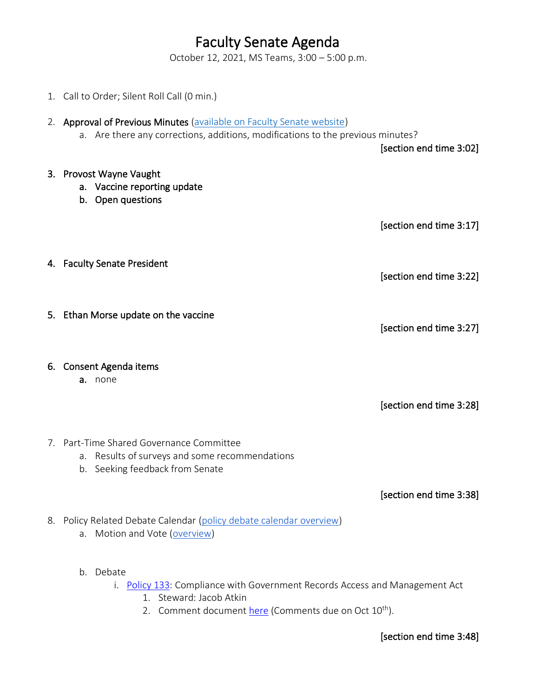## Faculty Senate Agenda

October 12, 2021, MS Teams, 3:00 – 5:00 p.m.

- 1. Call to Order; Silent Roll Call (0 min.) 2. Approval of Previous Minutes (available on Faculty Senate website) a. Are there any corrections, additions, modifications to the previous minutes? [section end time 3:02] 3. Provost Wayne Vaught a. Vaccine reporting update b. Open questions [section end time 3:17] 4. Faculty Senate President [section end time 3:22] 5. Ethan Morse update on the vaccine [section end time 3:27] 6. Consent Agenda items a. none [section end time 3:28] 7. Part-Time Shared Governance Committee a. Results of surveys and some recommendations b. Seeking feedback from Senate [section end time 3:38] 8. Policy Related Debate Calendar (policy debate calendar overview) a. Motion and Vote (overview)
	- b. Debate
		- i. Policy 133: Compliance with Government Records Access and Management Act
			- 1. Steward: Jacob Atkin
			- 2. Comment document here (Comments due on Oct 10<sup>th</sup>).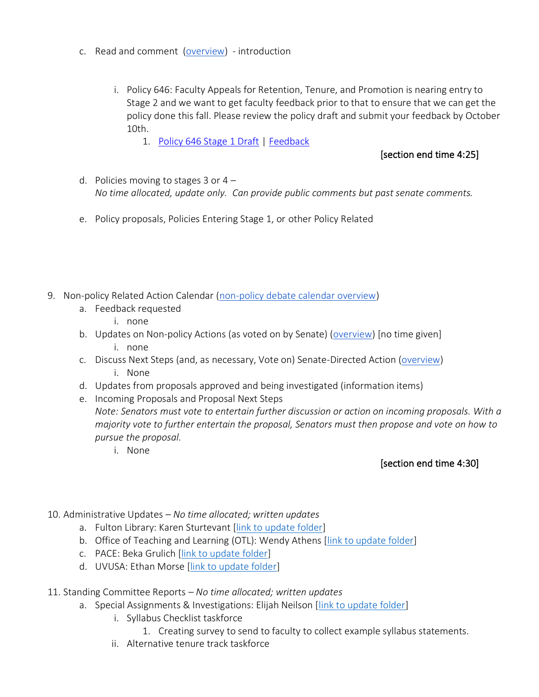- c. Read and comment (overview) introduction
	- i. Policy 646: Faculty Appeals for Retention, Tenure, and Promotion is nearing entry to Stage 2 and we want to get faculty feedback prior to that to ensure that we can get the policy done this fall. Please review the policy draft and submit your feedback by October 10th.
		- 1. Policy 646 Stage 1 Draft | Feedback

## [section end time 4:25]

- d. Policies moving to stages  $3$  or  $4 -$ *No time allocated, update only. Can provide public comments but past senate comments.*
- e. Policy proposals, Policies Entering Stage 1, or other Policy Related
- 9. Non-policy Related Action Calendar (non-policy debate calendar overview)
	- a. Feedback requested
		- i. none
	- b. Updates on Non-policy Actions (as voted on by Senate) (overview) [no time given] i. none
	- c. Discuss Next Steps (and, as necessary, Vote on) Senate-Directed Action (overview) i. None
	- d. Updates from proposals approved and being investigated (information items)
	- e. Incoming Proposals and Proposal Next Steps

*Note: Senators must vote to entertain further discussion or action on incoming proposals. With a majority vote to further entertain the proposal, Senators must then propose and vote on how to pursue the proposal.*

i. None

## [section end time 4:30]

- 10. Administrative Updates *– No time allocated; written updates*
	- a. Fulton Library: Karen Sturtevant [link to update folder]
	- b. Office of Teaching and Learning (OTL): Wendy Athens [link to update folder]
	- c. PACE: Beka Grulich [link to update folder]
	- d. UVUSA: Ethan Morse [link to update folder]
- 11. Standing Committee Reports *– No time allocated; written updates*
	- a. Special Assignments & Investigations: Elijah Neilson [link to update folder]
		- i. Syllabus Checklist taskforce
			- 1. Creating survey to send to faculty to collect example syllabus statements.
		- ii. Alternative tenure track taskforce